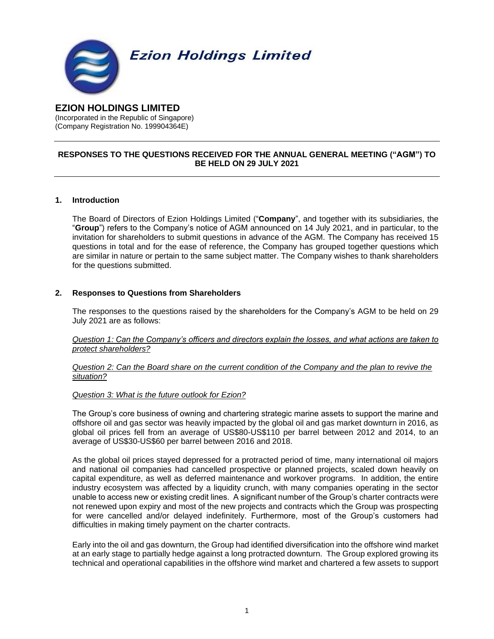

# **EZION HOLDINGS LIMITED**

(Incorporated in the Republic of Singapore) (Company Registration No. 199904364E)

# **RESPONSES TO THE QUESTIONS RECEIVED FOR THE ANNUAL GENERAL MEETING ("AGM") TO BE HELD ON 29 JULY 2021**

#### **1. Introduction**

The Board of Directors of Ezion Holdings Limited ("**Company**", and together with its subsidiaries, the "**Group**") refers to the Company's notice of AGM announced on 14 July 2021, and in particular, to the invitation for shareholders to submit questions in advance of the AGM. The Company has received 15 questions in total and for the ease of reference, the Company has grouped together questions which are similar in nature or pertain to the same subject matter. The Company wishes to thank shareholders for the questions submitted.

# **2. Responses to Questions from Shareholders**

The responses to the questions raised by the shareholders for the Company's AGM to be held on 29 July 2021 are as follows:

*Question 1: Can the Company's officers and directors explain the losses, and what actions are taken to protect shareholders?*

*Question 2: Can the Board share on the current condition of the Company and the plan to revive the situation?*

#### *Question 3: What is the future outlook for Ezion?*

The Group's core business of owning and chartering strategic marine assets to support the marine and offshore oil and gas sector was heavily impacted by the global oil and gas market downturn in 2016, as global oil prices fell from an average of US\$80-US\$110 per barrel between 2012 and 2014, to an average of US\$30-US\$60 per barrel between 2016 and 2018.

As the global oil prices stayed depressed for a protracted period of time, many international oil majors and national oil companies had cancelled prospective or planned projects, scaled down heavily on capital expenditure, as well as deferred maintenance and workover programs. In addition, the entire industry ecosystem was affected by a liquidity crunch, with many companies operating in the sector unable to access new or existing credit lines. A significant number of the Group's charter contracts were not renewed upon expiry and most of the new projects and contracts which the Group was prospecting for were cancelled and/or delayed indefinitely. Furthermore, most of the Group's customers had difficulties in making timely payment on the charter contracts.

Early into the oil and gas downturn, the Group had identified diversification into the offshore wind market at an early stage to partially hedge against a long protracted downturn. The Group explored growing its technical and operational capabilities in the offshore wind market and chartered a few assets to support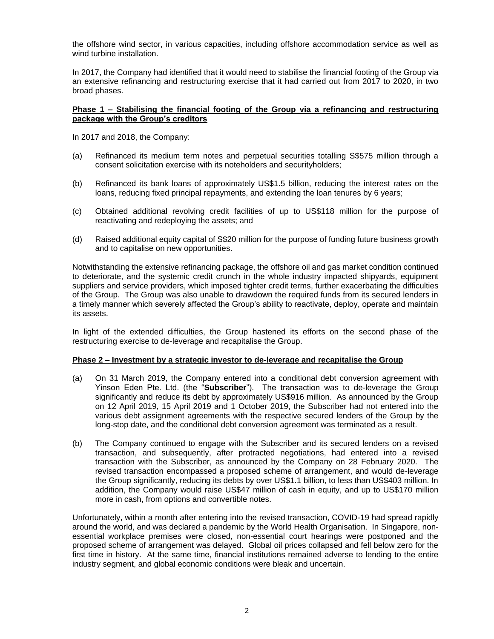the offshore wind sector, in various capacities, including offshore accommodation service as well as wind turbine installation.

In 2017, the Company had identified that it would need to stabilise the financial footing of the Group via an extensive refinancing and restructuring exercise that it had carried out from 2017 to 2020, in two broad phases.

## **Phase 1 – Stabilising the financial footing of the Group via a refinancing and restructuring package with the Group's creditors**

In 2017 and 2018, the Company:

- (a) Refinanced its medium term notes and perpetual securities totalling S\$575 million through a consent solicitation exercise with its noteholders and securityholders;
- (b) Refinanced its bank loans of approximately US\$1.5 billion, reducing the interest rates on the loans, reducing fixed principal repayments, and extending the loan tenures by 6 years;
- (c) Obtained additional revolving credit facilities of up to US\$118 million for the purpose of reactivating and redeploying the assets; and
- (d) Raised additional equity capital of S\$20 million for the purpose of funding future business growth and to capitalise on new opportunities.

Notwithstanding the extensive refinancing package, the offshore oil and gas market condition continued to deteriorate, and the systemic credit crunch in the whole industry impacted shipyards, equipment suppliers and service providers, which imposed tighter credit terms, further exacerbating the difficulties of the Group. The Group was also unable to drawdown the required funds from its secured lenders in a timely manner which severely affected the Group's ability to reactivate, deploy, operate and maintain its assets.

In light of the extended difficulties, the Group hastened its efforts on the second phase of the restructuring exercise to de-leverage and recapitalise the Group.

#### **Phase 2 – Investment by a strategic investor to de-leverage and recapitalise the Group**

- (a) On 31 March 2019, the Company entered into a conditional debt conversion agreement with Yinson Eden Pte. Ltd. (the "**Subscriber**"). The transaction was to de-leverage the Group significantly and reduce its debt by approximately US\$916 million. As announced by the Group on 12 April 2019, 15 April 2019 and 1 October 2019, the Subscriber had not entered into the various debt assignment agreements with the respective secured lenders of the Group by the long-stop date, and the conditional debt conversion agreement was terminated as a result.
- (b) The Company continued to engage with the Subscriber and its secured lenders on a revised transaction, and subsequently, after protracted negotiations, had entered into a revised transaction with the Subscriber, as announced by the Company on 28 February 2020. The revised transaction encompassed a proposed scheme of arrangement, and would de-leverage the Group significantly, reducing its debts by over US\$1.1 billion, to less than US\$403 million. In addition, the Company would raise US\$47 million of cash in equity, and up to US\$170 million more in cash, from options and convertible notes.

Unfortunately, within a month after entering into the revised transaction, COVID-19 had spread rapidly around the world, and was declared a pandemic by the World Health Organisation. In Singapore, nonessential workplace premises were closed, non-essential court hearings were postponed and the proposed scheme of arrangement was delayed. Global oil prices collapsed and fell below zero for the first time in history. At the same time, financial institutions remained adverse to lending to the entire industry segment, and global economic conditions were bleak and uncertain.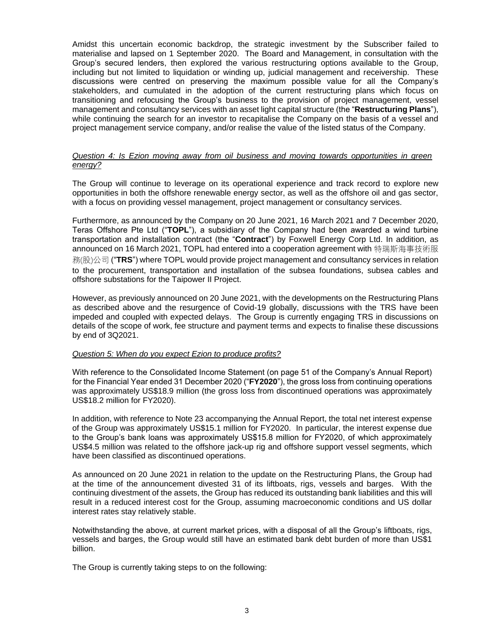Amidst this uncertain economic backdrop, the strategic investment by the Subscriber failed to materialise and lapsed on 1 September 2020. The Board and Management, in consultation with the Group's secured lenders, then explored the various restructuring options available to the Group, including but not limited to liquidation or winding up, judicial management and receivership. These discussions were centred on preserving the maximum possible value for all the Company's stakeholders, and cumulated in the adoption of the current restructuring plans which focus on transitioning and refocusing the Group's business to the provision of project management, vessel management and consultancy services with an asset light capital structure (the "**Restructuring Plans**"), while continuing the search for an investor to recapitalise the Company on the basis of a vessel and project management service company, and/or realise the value of the listed status of the Company.

#### *Question 4: Is Ezion moving away from oil business and moving towards opportunities in green energy?*

The Group will continue to leverage on its operational experience and track record to explore new opportunities in both the offshore renewable energy sector, as well as the offshore oil and gas sector, with a focus on providing vessel management, project management or consultancy services.

Furthermore, as announced by the Company on 20 June 2021, 16 March 2021 and 7 December 2020, Teras Offshore Pte Ltd ("**TOPL**"), a subsidiary of the Company had been awarded a wind turbine transportation and installation contract (the "**Contract**") by Foxwell Energy Corp Ltd. In addition, as announced on 16 March 2021, TOPL had entered into a cooperation agreement with 特瑞斯海事技術服 務(股)公司 ("**TRS**") where TOPL would provide project management and consultancy services in relation to the procurement, transportation and installation of the subsea foundations, subsea cables and offshore substations for the Taipower II Project.

However, as previously announced on 20 June 2021, with the developments on the Restructuring Plans as described above and the resurgence of Covid-19 globally, discussions with the TRS have been impeded and coupled with expected delays. The Group is currently engaging TRS in discussions on details of the scope of work, fee structure and payment terms and expects to finalise these discussions by end of 3Q2021.

#### *Question 5: When do you expect Ezion to produce profits?*

With reference to the Consolidated Income Statement (on page 51 of the Company's Annual Report) for the Financial Year ended 31 December 2020 ("**FY2020**"), the gross loss from continuing operations was approximately US\$18.9 million (the gross loss from discontinued operations was approximately US\$18.2 million for FY2020).

In addition, with reference to Note 23 accompanying the Annual Report, the total net interest expense of the Group was approximately US\$15.1 million for FY2020. In particular, the interest expense due to the Group's bank loans was approximately US\$15.8 million for FY2020, of which approximately US\$4.5 million was related to the offshore jack-up rig and offshore support vessel segments, which have been classified as discontinued operations.

As announced on 20 June 2021 in relation to the update on the Restructuring Plans, the Group had at the time of the announcement divested 31 of its liftboats, rigs, vessels and barges. With the continuing divestment of the assets, the Group has reduced its outstanding bank liabilities and this will result in a reduced interest cost for the Group, assuming macroeconomic conditions and US dollar interest rates stay relatively stable.

Notwithstanding the above, at current market prices, with a disposal of all the Group's liftboats, rigs, vessels and barges, the Group would still have an estimated bank debt burden of more than US\$1 billion.

The Group is currently taking steps to on the following: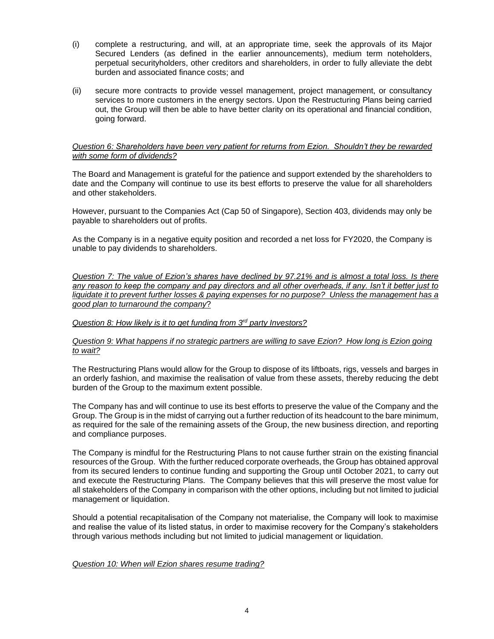- (i) complete a restructuring, and will, at an appropriate time, seek the approvals of its Major Secured Lenders (as defined in the earlier announcements), medium term noteholders, perpetual securityholders, other creditors and shareholders, in order to fully alleviate the debt burden and associated finance costs; and
- (ii) secure more contracts to provide vessel management, project management, or consultancy services to more customers in the energy sectors. Upon the Restructuring Plans being carried out, the Group will then be able to have better clarity on its operational and financial condition, going forward.

#### *Question 6: Shareholders have been very patient for returns from Ezion. Shouldn't they be rewarded with some form of dividends?*

The Board and Management is grateful for the patience and support extended by the shareholders to date and the Company will continue to use its best efforts to preserve the value for all shareholders and other stakeholders.

However, pursuant to the Companies Act (Cap 50 of Singapore), Section 403, dividends may only be payable to shareholders out of profits.

As the Company is in a negative equity position and recorded a net loss for FY2020, the Company is unable to pay dividends to shareholders.

*Question 7: The value of Ezion's shares have declined by 97.21% and is almost a total loss. Is there any reason to keep the company and pay directors and all other overheads, if any. Isn't it better just to liquidate it to prevent further losses & paying expenses for no purpose? Unless the management has a good plan to turnaround the company*?

#### *Question 8: How likely is it to get funding from 3rd party Investors?*

#### *Question 9: What happens if no strategic partners are willing to save Ezion? How long is Ezion going to wait?*

The Restructuring Plans would allow for the Group to dispose of its liftboats, rigs, vessels and barges in an orderly fashion, and maximise the realisation of value from these assets, thereby reducing the debt burden of the Group to the maximum extent possible.

The Company has and will continue to use its best efforts to preserve the value of the Company and the Group. The Group is in the midst of carrying out a further reduction of its headcount to the bare minimum, as required for the sale of the remaining assets of the Group, the new business direction, and reporting and compliance purposes.

The Company is mindful for the Restructuring Plans to not cause further strain on the existing financial resources of the Group. With the further reduced corporate overheads, the Group has obtained approval from its secured lenders to continue funding and supporting the Group until October 2021, to carry out and execute the Restructuring Plans. The Company believes that this will preserve the most value for all stakeholders of the Company in comparison with the other options, including but not limited to judicial management or liquidation.

Should a potential recapitalisation of the Company not materialise, the Company will look to maximise and realise the value of its listed status, in order to maximise recovery for the Company's stakeholders through various methods including but not limited to judicial management or liquidation.

#### *Question 10: When will Ezion shares resume trading?*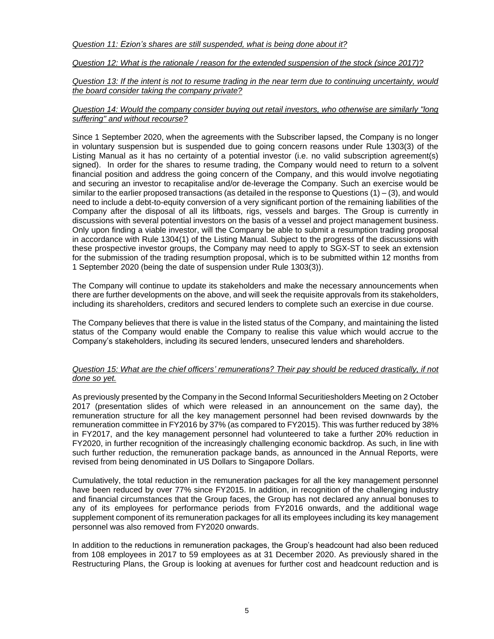# *Question 12: What is the rationale / reason for the extended suspension of the stock (since 2017)?*

*Question 13: If the intent is not to resume trading in the near term due to continuing uncertainty, would the board consider taking the company private?*

## *Question 14: Would the company consider buying out retail investors, who otherwise are similarly "long suffering" and without recourse?*

Since 1 September 2020, when the agreements with the Subscriber lapsed, the Company is no longer in voluntary suspension but is suspended due to going concern reasons under Rule 1303(3) of the Listing Manual as it has no certainty of a potential investor (i.e. no valid subscription agreement(s) signed). In order for the shares to resume trading, the Company would need to return to a solvent financial position and address the going concern of the Company, and this would involve negotiating and securing an investor to recapitalise and/or de-leverage the Company. Such an exercise would be similar to the earlier proposed transactions (as detailed in the response to Questions (1) – (3), and would need to include a debt-to-equity conversion of a very significant portion of the remaining liabilities of the Company after the disposal of all its liftboats, rigs, vessels and barges. The Group is currently in discussions with several potential investors on the basis of a vessel and project management business. Only upon finding a viable investor, will the Company be able to submit a resumption trading proposal in accordance with Rule 1304(1) of the Listing Manual. Subject to the progress of the discussions with these prospective investor groups, the Company may need to apply to SGX-ST to seek an extension for the submission of the trading resumption proposal, which is to be submitted within 12 months from 1 September 2020 (being the date of suspension under Rule 1303(3)).

The Company will continue to update its stakeholders and make the necessary announcements when there are further developments on the above, and will seek the requisite approvals from its stakeholders, including its shareholders, creditors and secured lenders to complete such an exercise in due course.

The Company believes that there is value in the listed status of the Company, and maintaining the listed status of the Company would enable the Company to realise this value which would accrue to the Company's stakeholders, including its secured lenders, unsecured lenders and shareholders.

# *Question 15: What are the chief officers' remunerations? Their pay should be reduced drastically, if not done so yet.*

As previously presented by the Company in the Second Informal Securitiesholders Meeting on 2 October 2017 (presentation slides of which were released in an announcement on the same day), the remuneration structure for all the key management personnel had been revised downwards by the remuneration committee in FY2016 by 37% (as compared to FY2015). This was further reduced by 38% in FY2017, and the key management personnel had volunteered to take a further 20% reduction in FY2020, in further recognition of the increasingly challenging economic backdrop. As such, in line with such further reduction, the remuneration package bands, as announced in the Annual Reports, were revised from being denominated in US Dollars to Singapore Dollars.

Cumulatively, the total reduction in the remuneration packages for all the key management personnel have been reduced by over 77% since FY2015. In addition, in recognition of the challenging industry and financial circumstances that the Group faces, the Group has not declared any annual bonuses to any of its employees for performance periods from FY2016 onwards, and the additional wage supplement component of its remuneration packages for all its employees including its key management personnel was also removed from FY2020 onwards.

In addition to the reductions in remuneration packages, the Group's headcount had also been reduced from 108 employees in 2017 to 59 employees as at 31 December 2020. As previously shared in the Restructuring Plans, the Group is looking at avenues for further cost and headcount reduction and is